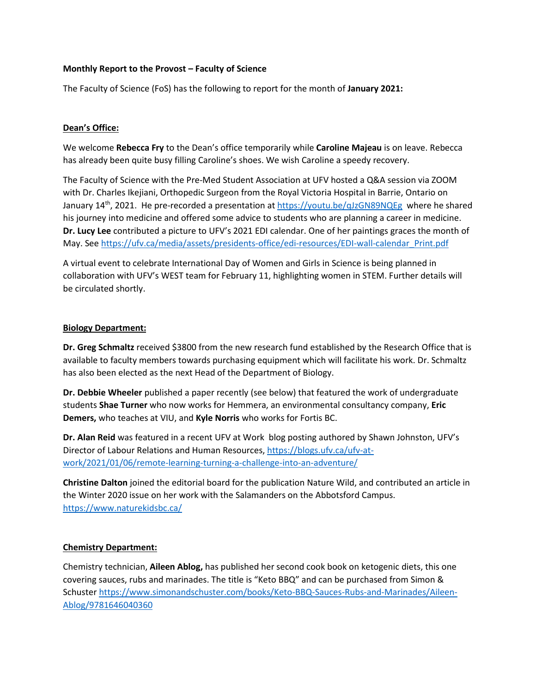#### **Monthly Report to the Provost – Faculty of Science**

The Faculty of Science (FoS) has the following to report for the month of **January 2021:**

#### **Dean's Office:**

We welcome **Rebecca Fry** to the Dean's office temporarily while **Caroline Majeau** is on leave. Rebecca has already been quite busy filling Caroline's shoes. We wish Caroline a speedy recovery.

The Faculty of Science with the Pre-Med Student Association at UFV hosted a Q&A session via ZOOM with Dr. Charles Ikejiani, Orthopedic Surgeon from the Royal Victoria Hospital in Barrie, Ontario on January 14<sup>th</sup>, 2021. He pre-recorded a presentation at<https://youtu.be/qJzGN89NQEg>where he shared his journey into medicine and offered some advice to students who are planning a career in medicine. **Dr. Lucy Lee** contributed a picture to UFV's 2021 EDI calendar. One of her paintings graces the month of May. Se[e https://ufv.ca/media/assets/presidents-office/edi-resources/EDI-wall-calendar\\_Print.pdf](https://ufv.ca/media/assets/presidents-office/edi-resources/EDI-wall-calendar_Print.pdf) 

A virtual event to celebrate International Day of Women and Girls in Science is being planned in collaboration with UFV's WEST team for February 11, highlighting women in STEM. Further details will be circulated shortly.

#### **Biology Department:**

**Dr. Greg Schmaltz** received \$3800 from the new research fund established by the Research Office that is available to faculty members towards purchasing equipment which will facilitate his work. Dr. Schmaltz has also been elected as the next Head of the Department of Biology.

**Dr. Debbie Wheeler** published a paper recently (see below) that featured the work of undergraduate students **Shae Turner** who now works for Hemmera, an environmental consultancy company, **Eric Demers,** who teaches at VIU, and **Kyle Norris** who works for Fortis BC.

**Dr. Alan Reid** was featured in a recent UFV at Work blog posting authored by Shawn Johnston, UFV's Director of Labour Relations and Human Resources, [https://blogs.ufv.ca/ufv-at](https://blogs.ufv.ca/ufv-at-work/2021/01/06/remote-learning-turning-a-challenge-into-an-adventure/)[work/2021/01/06/remote-learning-turning-a-challenge-into-an-adventure/](https://blogs.ufv.ca/ufv-at-work/2021/01/06/remote-learning-turning-a-challenge-into-an-adventure/)

**Christine Dalton** joined the editorial board for the publication Nature Wild, and contributed an article in the Winter 2020 issue on her work with the Salamanders on the Abbotsford Campus. <https://www.naturekidsbc.ca/>

# **Chemistry Department:**

Chemistry technician, **Aileen Ablog,** has published her second cook book on ketogenic diets, this one covering sauces, rubs and marinades. The title is "Keto BBQ" and can be purchased from Simon & Schuster [https://www.simonandschuster.com/books/Keto-BBQ-Sauces-Rubs-and-Marinades/Aileen-](https://www.simonandschuster.com/books/Keto-BBQ-Sauces-Rubs-and-Marinades/Aileen-Ablog/9781646040360)[Ablog/9781646040360](https://www.simonandschuster.com/books/Keto-BBQ-Sauces-Rubs-and-Marinades/Aileen-Ablog/9781646040360)